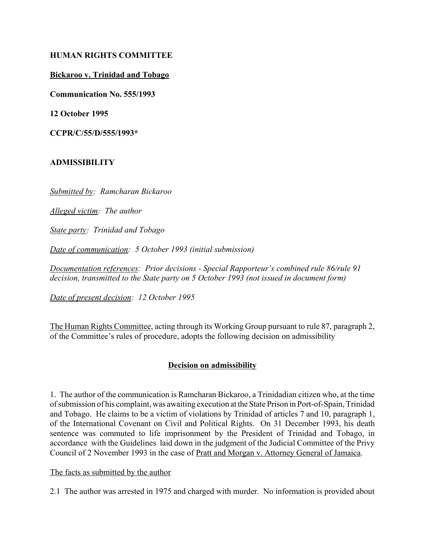## **HUMAN RIGHTS COMMITTEE**

### **Bickaroo v. Trinidad and Tobago**

**Communication No. 555/1993**

**12 October 1995**

**CCPR/C/55/D/555/1993\***

### **ADMISSIBILITY**

*Submitted by: Ramcharan Bickaroo*

*Alleged victim: The author*

*State party: Trinidad and Tobago*

*Date of communication: 5 October 1993 (initial submission)*

*Documentation references: Prior decisions - Special Rapporteur's combined rule 86/rule 91 decision, transmitted to the State party on 5 October 1993 (not issued in document form)*

*Date of present decision: 12 October 1995*

The Human Rights Committee, acting through its Working Group pursuant to rule 87, paragraph 2, of the Committee's rules of procedure, adopts the following decision on admissibility

# **Decision on admissibility**

1. The author of the communication is Ramcharan Bickaroo, a Trinidadian citizen who, at the time of submission of his complaint, was awaiting execution at the State Prison in Port-of-Spain, Trinidad and Tobago. He claims to be a victim of violations by Trinidad of articles 7 and 10, paragraph 1, of the International Covenant on Civil and Political Rights. On 31 December 1993, his death sentence was commuted to life imprisonment by the President of Trinidad and Tobago, in accordance with the Guidelines laid down in the judgment of the Judicial Committee of the Privy Council of 2 November 1993 in the case of Pratt and Morgan v. Attorney General of Jamaica.

#### The facts as submitted by the author

2.1 The author was arrested in 1975 and charged with murder. No information is provided about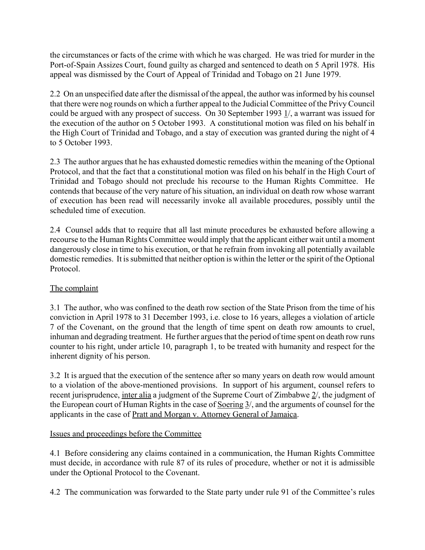the circumstances or facts of the crime with which he was charged. He was tried for murder in the Port-of-Spain Assizes Court, found guilty as charged and sentenced to death on 5 April 1978. His appeal was dismissed by the Court of Appeal of Trinidad and Tobago on 21 June 1979.

2.2 On an unspecified date after the dismissal of the appeal, the author was informed by his counsel that there were nog rounds on which a further appeal to the Judicial Committee of the Privy Council could be argued with any prospect of success. On 30 September 1993 1/, a warrant was issued for the execution of the author on 5 October 1993. A constitutional motion was filed on his behalf in the High Court of Trinidad and Tobago, and a stay of execution was granted during the night of 4 to 5 October 1993.

2.3 The author argues that he has exhausted domestic remedies within the meaning of the Optional Protocol, and that the fact that a constitutional motion was filed on his behalf in the High Court of Trinidad and Tobago should not preclude his recourse to the Human Rights Committee. He contends that because of the very nature of his situation, an individual on death row whose warrant of execution has been read will necessarily invoke all available procedures, possibly until the scheduled time of execution.

2.4 Counsel adds that to require that all last minute procedures be exhausted before allowing a recourse to the Human Rights Committee would imply that the applicant either wait until a moment dangerously close in time to his execution, or that he refrain from invoking all potentially available domestic remedies. It is submitted that neither option is within the letter or the spirit of the Optional Protocol.

# The complaint

3.1 The author, who was confined to the death row section of the State Prison from the time of his conviction in April 1978 to 31 December 1993, i.e. close to 16 years, alleges a violation of article 7 of the Covenant, on the ground that the length of time spent on death row amounts to cruel, inhuman and degrading treatment. He further argues that the period of time spent on death row runs counter to his right, under article 10, paragraph 1, to be treated with humanity and respect for the inherent dignity of his person.

3.2 It is argued that the execution of the sentence after so many years on death row would amount to a violation of the above-mentioned provisions. In support of his argument, counsel refers to recent jurisprudence, inter alia a judgment of the Supreme Court of Zimbabwe 2/, the judgment of the European court of Human Rights in the case of Soering 3/, and the arguments of counsel for the applicants in the case of Pratt and Morgan v. Attorney General of Jamaica.

# Issues and proceedings before the Committee

4.1 Before considering any claims contained in a communication, the Human Rights Committee must decide, in accordance with rule 87 of its rules of procedure, whether or not it is admissible under the Optional Protocol to the Covenant.

4.2 The communication was forwarded to the State party under rule 91 of the Committee's rules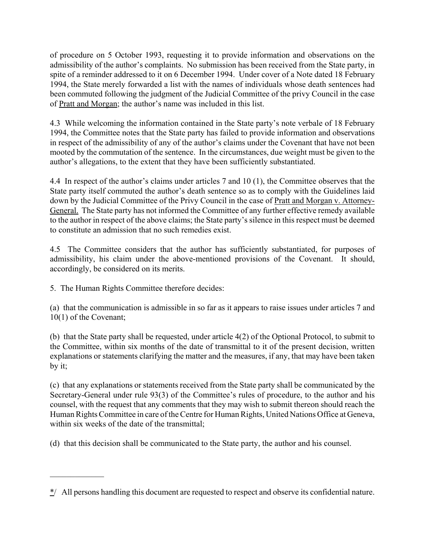of procedure on 5 October 1993, requesting it to provide information and observations on the admissibility of the author's complaints. No submission has been received from the State party, in spite of a reminder addressed to it on 6 December 1994. Under cover of a Note dated 18 February 1994, the State merely forwarded a list with the names of individuals whose death sentences had been commuted following the judgment of the Judicial Committee of the privy Council in the case of Pratt and Morgan; the author's name was included in this list.

4.3 While welcoming the information contained in the State party's note verbale of 18 February 1994, the Committee notes that the State party has failed to provide information and observations in respect of the admissibility of any of the author's claims under the Covenant that have not been mooted by the commutation of the sentence. In the circumstances, due weight must be given to the author's allegations, to the extent that they have been sufficiently substantiated.

4.4 In respect of the author's claims under articles 7 and 10  $(1)$ , the Committee observes that the State party itself commuted the author's death sentence so as to comply with the Guidelines laid down by the Judicial Committee of the Privy Council in the case of Pratt and Morgan v. Attorney-General. The State party has not informed the Committee of any further effective remedy available to the author in respect of the above claims; the State party's silence in this respect must be deemed to constitute an admission that no such remedies exist.

4.5 The Committee considers that the author has sufficiently substantiated, for purposes of admissibility, his claim under the above-mentioned provisions of the Covenant. It should, accordingly, be considered on its merits.

5. The Human Rights Committee therefore decides:

 $\mathcal{L}_\text{max}$ 

(a) that the communication is admissible in so far as it appears to raise issues under articles 7 and 10(1) of the Covenant;

(b) that the State party shall be requested, under article 4(2) of the Optional Protocol, to submit to the Committee, within six months of the date of transmittal to it of the present decision, written explanations or statements clarifying the matter and the measures, if any, that may have been taken by it;

(c) that any explanations or statements received from the State party shall be communicated by the Secretary-General under rule 93(3) of the Committee's rules of procedure, to the author and his counsel, with the request that any comments that they may wish to submit thereon should reach the Human Rights Committee in care of the Centre for Human Rights, United Nations Office at Geneva, within six weeks of the date of the transmittal:

(d) that this decision shall be communicated to the State party, the author and his counsel.

 $\frac{\dot{x}}{}$  All persons handling this document are requested to respect and observe its confidential nature.